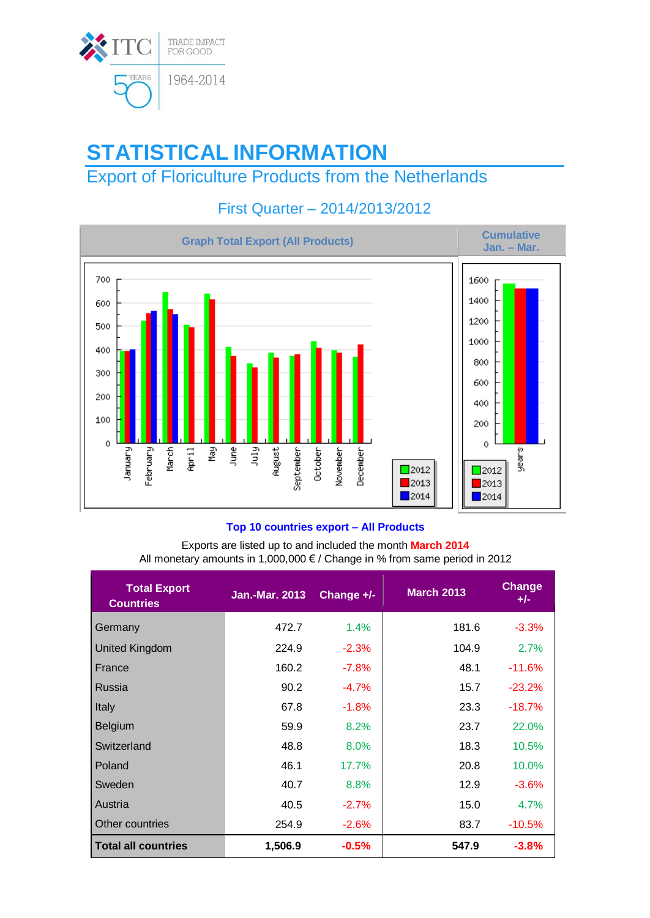

# **STATISTICAL INFORMATION**

## Export of Floriculture Products from the Netherlands



### First Quarter – 2014/2013/2012

#### **Top 10 countries export – All Products**

Exports are listed up to and included the month **March 2014** All monetary amounts in 1,000,000 € / Change in % from same period in 2012

| <b>Total Export</b><br><b>Countries</b> | <b>Jan.-Mar. 2013</b> | Change +/- | <b>March 2013</b> | <b>Change</b><br>$+/-$ |
|-----------------------------------------|-----------------------|------------|-------------------|------------------------|
| Germany                                 | 472.7                 | 1.4%       | 181.6             | $-3.3%$                |
| <b>United Kingdom</b>                   | 224.9                 | $-2.3%$    | 104.9             | 2.7%                   |
| France                                  | 160.2                 | $-7.8%$    | 48.1              | $-11.6%$               |
| Russia                                  | 90.2                  | $-4.7%$    | 15.7              | $-23.2%$               |
| Italy                                   | 67.8                  | $-1.8%$    | 23.3              | $-18.7%$               |
| <b>Belgium</b>                          | 59.9                  | 8.2%       | 23.7              | 22.0%                  |
| Switzerland                             | 48.8                  | 8.0%       | 18.3              | 10.5%                  |
| Poland                                  | 46.1                  | 17.7%      | 20.8              | 10.0%                  |
| Sweden                                  | 40.7                  | 8.8%       | 12.9              | $-3.6%$                |
| Austria                                 | 40.5                  | $-2.7%$    | 15.0              | 4.7%                   |
| Other countries                         | 254.9                 | $-2.6%$    | 83.7              | $-10.5%$               |
| <b>Total all countries</b>              | 1,506.9               | $-0.5%$    | 547.9             | $-3.8%$                |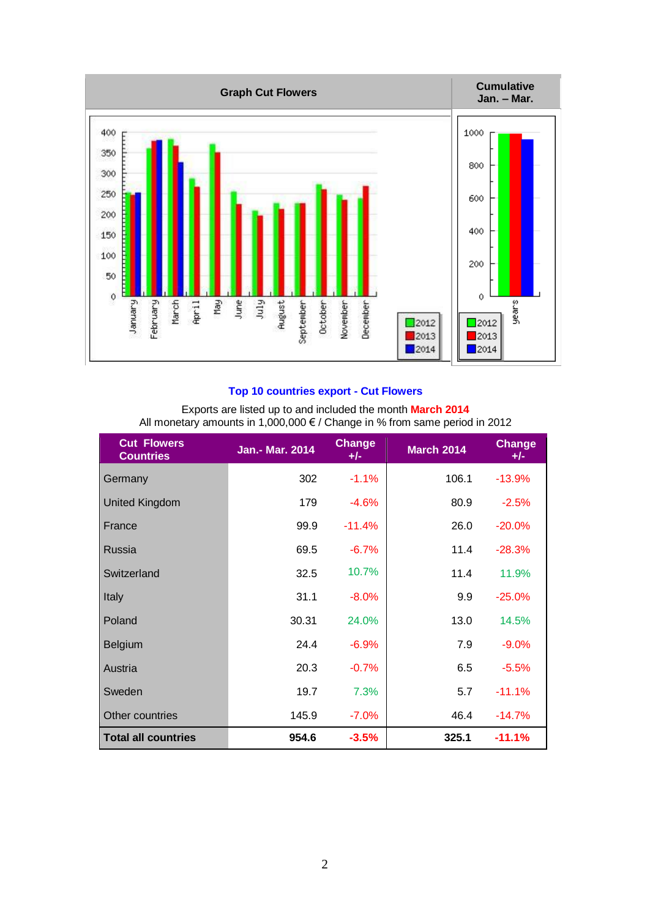

#### **Top 10 countries export - Cut Flowers**

| Exports are listed up to and included the month March 2014                 |  |
|----------------------------------------------------------------------------|--|
| All monetary amounts in 1,000,000 € / Change in % from same period in 2012 |  |

| <b>Cut Flowers</b><br><b>Countries</b> | Jan.- Mar. 2014 | <b>Change</b><br>$+/-$ | <b>March 2014</b> | <b>Change</b><br>$+/-$ |
|----------------------------------------|-----------------|------------------------|-------------------|------------------------|
| Germany                                | 302             | $-1.1%$                | 106.1             | $-13.9%$               |
| <b>United Kingdom</b>                  | 179             | $-4.6%$                | 80.9              | $-2.5%$                |
| France                                 | 99.9            | $-11.4%$               | 26.0              | $-20.0%$               |
| Russia                                 | 69.5            | $-6.7%$                | 11.4              | $-28.3%$               |
| Switzerland                            | 32.5            | 10.7%                  | 11.4              | 11.9%                  |
| Italy                                  | 31.1            | $-8.0\%$               | 9.9               | $-25.0%$               |
| Poland                                 | 30.31           | 24.0%                  | 13.0              | 14.5%                  |
| <b>Belgium</b>                         | 24.4            | $-6.9%$                | 7.9               | $-9.0%$                |
| Austria                                | 20.3            | $-0.7%$                | 6.5               | $-5.5%$                |
| Sweden                                 | 19.7            | 7.3%                   | 5.7               | $-11.1%$               |
| Other countries                        | 145.9           | $-7.0%$                | 46.4              | $-14.7%$               |
| <b>Total all countries</b>             | 954.6           | $-3.5%$                | 325.1             | $-11.1%$               |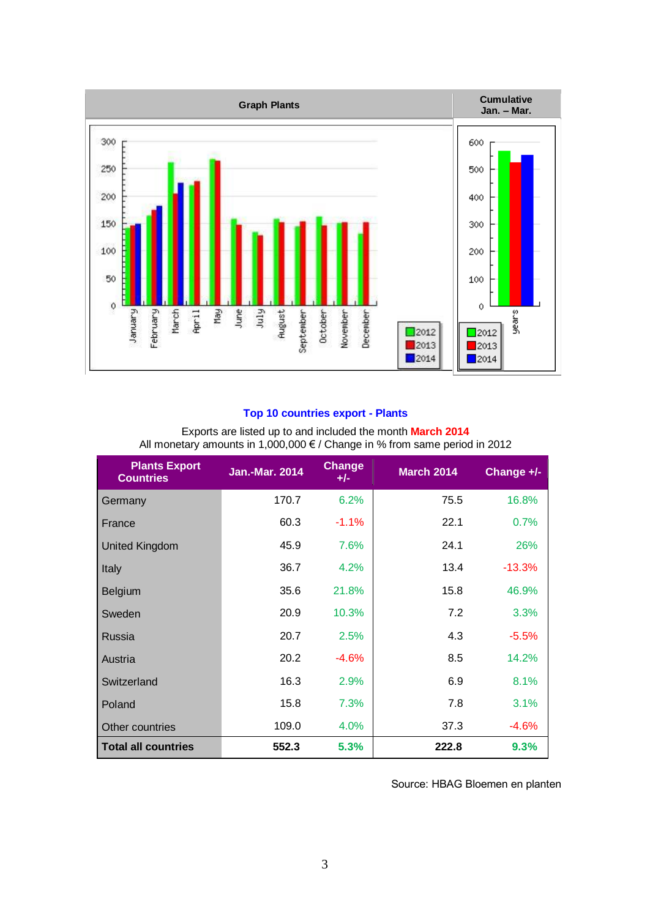

#### **Top 10 countries export - Plants**

| Exports are listed up to and included the month March 2014                 |  |
|----------------------------------------------------------------------------|--|
| All monetary amounts in 1,000,000 € / Change in % from same period in 2012 |  |

| <b>Plants Export</b><br><b>Countries</b> | <b>Jan.-Mar. 2014</b> | Change<br>$+/-$ | <b>March 2014</b> | Change +/- |
|------------------------------------------|-----------------------|-----------------|-------------------|------------|
| Germany                                  | 170.7                 | 6.2%            | 75.5              | 16.8%      |
| France                                   | 60.3                  | $-1.1%$         | 22.1              | 0.7%       |
| <b>United Kingdom</b>                    | 45.9                  | 7.6%            | 24.1              | 26%        |
| Italy                                    | 36.7                  | 4.2%            | 13.4              | $-13.3%$   |
| Belgium                                  | 35.6                  | 21.8%           | 15.8              | 46.9%      |
| Sweden                                   | 20.9                  | 10.3%           | 7.2               | 3.3%       |
| Russia                                   | 20.7                  | 2.5%            | 4.3               | $-5.5%$    |
| Austria                                  | 20.2                  | $-4.6%$         | 8.5               | 14.2%      |
| Switzerland                              | 16.3                  | 2.9%            | 6.9               | 8.1%       |
| Poland                                   | 15.8                  | 7.3%            | 7.8               | 3.1%       |
| Other countries                          | 109.0                 | 4.0%            | 37.3              | $-4.6%$    |
| <b>Total all countries</b>               | 552.3                 | 5.3%            | 222.8             | 9.3%       |

#### Source: HBAG Bloemen en planten